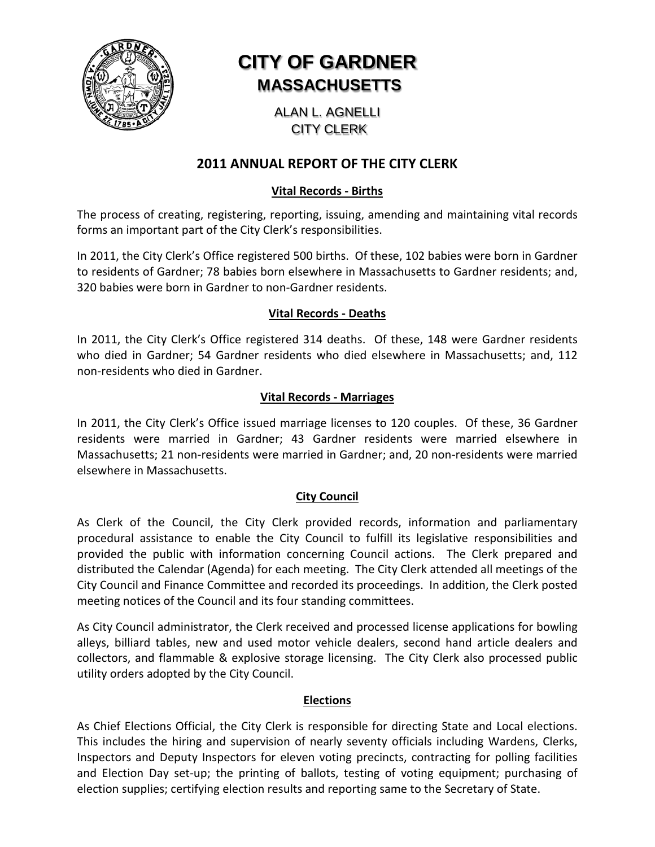

# **CITY OF GARDNER MASSACHUSETTS**

ALAN L. AGNELLI CITY CLERK

## **2011 ANNUAL REPORT OF THE CITY CLERK**

## **Vital Records - Births**

The process of creating, registering, reporting, issuing, amending and maintaining vital records forms an important part of the City Clerk's responsibilities.

In 2011, the City Clerk's Office registered 500 births. Of these, 102 babies were born in Gardner to residents of Gardner; 78 babies born elsewhere in Massachusetts to Gardner residents; and, 320 babies were born in Gardner to non-Gardner residents.

#### **Vital Records - Deaths**

In 2011, the City Clerk's Office registered 314 deaths. Of these, 148 were Gardner residents who died in Gardner; 54 Gardner residents who died elsewhere in Massachusetts; and, 112 non-residents who died in Gardner.

## **Vital Records - Marriages**

In 2011, the City Clerk's Office issued marriage licenses to 120 couples. Of these, 36 Gardner residents were married in Gardner; 43 Gardner residents were married elsewhere in Massachusetts; 21 non-residents were married in Gardner; and, 20 non-residents were married elsewhere in Massachusetts.

## **City Council**

As Clerk of the Council, the City Clerk provided records, information and parliamentary procedural assistance to enable the City Council to fulfill its legislative responsibilities and provided the public with information concerning Council actions. The Clerk prepared and distributed the Calendar (Agenda) for each meeting. The City Clerk attended all meetings of the City Council and Finance Committee and recorded its proceedings. In addition, the Clerk posted meeting notices of the Council and its four standing committees.

As City Council administrator, the Clerk received and processed license applications for bowling alleys, billiard tables, new and used motor vehicle dealers, second hand article dealers and collectors, and flammable & explosive storage licensing. The City Clerk also processed public utility orders adopted by the City Council.

#### **Elections**

As Chief Elections Official, the City Clerk is responsible for directing State and Local elections. This includes the hiring and supervision of nearly seventy officials including Wardens, Clerks, Inspectors and Deputy Inspectors for eleven voting precincts, contracting for polling facilities and Election Day set-up; the printing of ballots, testing of voting equipment; purchasing of election supplies; certifying election results and reporting same to the Secretary of State.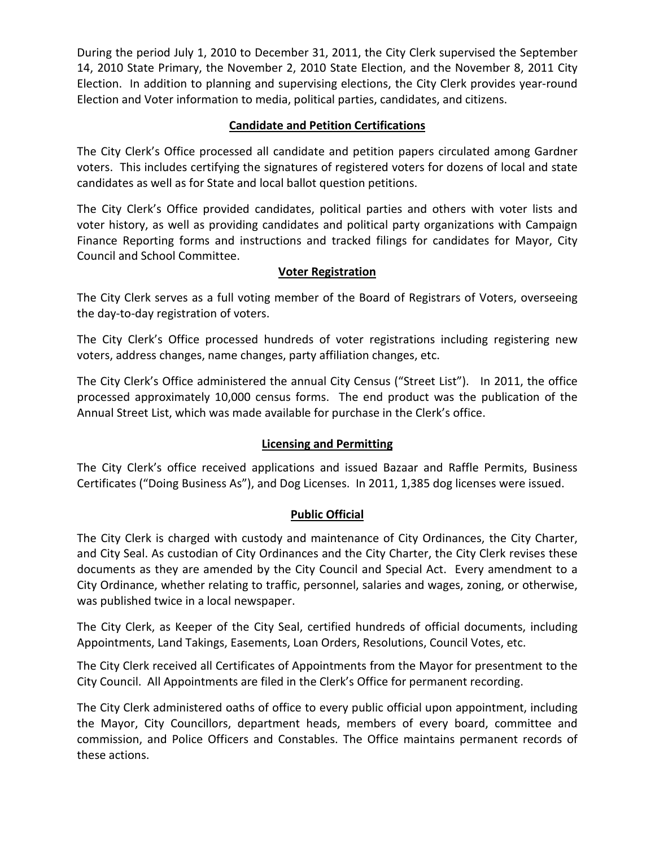During the period July 1, 2010 to December 31, 2011, the City Clerk supervised the September 14, 2010 State Primary, the November 2, 2010 State Election, and the November 8, 2011 City Election. In addition to planning and supervising elections, the City Clerk provides year-round Election and Voter information to media, political parties, candidates, and citizens.

## **Candidate and Petition Certifications**

The City Clerk's Office processed all candidate and petition papers circulated among Gardner voters. This includes certifying the signatures of registered voters for dozens of local and state candidates as well as for State and local ballot question petitions.

The City Clerk's Office provided candidates, political parties and others with voter lists and voter history, as well as providing candidates and political party organizations with Campaign Finance Reporting forms and instructions and tracked filings for candidates for Mayor, City Council and School Committee.

## **Voter Registration**

The City Clerk serves as a full voting member of the Board of Registrars of Voters, overseeing the day-to-day registration of voters.

The City Clerk's Office processed hundreds of voter registrations including registering new voters, address changes, name changes, party affiliation changes, etc.

The City Clerk's Office administered the annual City Census ("Street List"). In 2011, the office processed approximately 10,000 census forms. The end product was the publication of the Annual Street List, which was made available for purchase in the Clerk's office.

## **Licensing and Permitting**

The City Clerk's office received applications and issued Bazaar and Raffle Permits, Business Certificates ("Doing Business As"), and Dog Licenses. In 2011, 1,385 dog licenses were issued.

## **Public Official**

The City Clerk is charged with custody and maintenance of City Ordinances, the City Charter, and City Seal. As custodian of City Ordinances and the City Charter, the City Clerk revises these documents as they are amended by the City Council and Special Act. Every amendment to a City Ordinance, whether relating to traffic, personnel, salaries and wages, zoning, or otherwise, was published twice in a local newspaper.

The City Clerk, as Keeper of the City Seal, certified hundreds of official documents, including Appointments, Land Takings, Easements, Loan Orders, Resolutions, Council Votes, etc.

The City Clerk received all Certificates of Appointments from the Mayor for presentment to the City Council. All Appointments are filed in the Clerk's Office for permanent recording.

The City Clerk administered oaths of office to every public official upon appointment, including the Mayor, City Councillors, department heads, members of every board, committee and commission, and Police Officers and Constables. The Office maintains permanent records of these actions.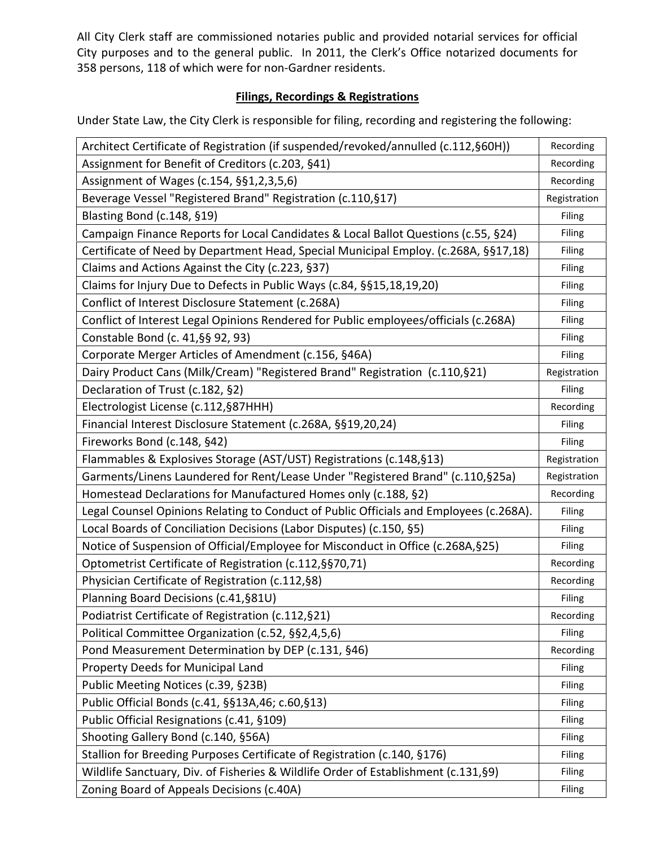All City Clerk staff are commissioned notaries public and provided notarial services for official City purposes and to the general public. In 2011, the Clerk's Office notarized documents for 358 persons, 118 of which were for non-Gardner residents.

## **Filings, Recordings & Registrations**

Under State Law, the City Clerk is responsible for filing, recording and registering the following:

| Architect Certificate of Registration (if suspended/revoked/annulled (c.112, §60H))    | Recording     |
|----------------------------------------------------------------------------------------|---------------|
| Assignment for Benefit of Creditors (c.203, §41)                                       |               |
| Assignment of Wages (c.154, §§1,2,3,5,6)                                               |               |
| Beverage Vessel "Registered Brand" Registration (c.110, §17)                           | Registration  |
| Blasting Bond (c.148, §19)                                                             | Filing        |
| Campaign Finance Reports for Local Candidates & Local Ballot Questions (c.55, §24)     | Filing        |
| Certificate of Need by Department Head, Special Municipal Employ. (c.268A, §§17,18)    | Filing        |
| Claims and Actions Against the City (c.223, §37)                                       | Filing        |
| Claims for Injury Due to Defects in Public Ways (c.84, §§15,18,19,20)                  | Filing        |
| Conflict of Interest Disclosure Statement (c.268A)                                     | Filing        |
| Conflict of Interest Legal Opinions Rendered for Public employees/officials (c.268A)   | Filing        |
| Constable Bond (c. 41, §§ 92, 93)                                                      | Filing        |
| Corporate Merger Articles of Amendment (c.156, §46A)                                   | Filing        |
| Dairy Product Cans (Milk/Cream) "Registered Brand" Registration (c.110, §21)           | Registration  |
| Declaration of Trust (c.182, §2)                                                       | Filing        |
| Electrologist License (c.112, §87HHH)                                                  | Recording     |
| Financial Interest Disclosure Statement (c.268A, §§19,20,24)                           | Filing        |
| Fireworks Bond (c.148, §42)                                                            | Filing        |
| Flammables & Explosives Storage (AST/UST) Registrations (c.148, §13)                   | Registration  |
| Garments/Linens Laundered for Rent/Lease Under "Registered Brand" (c.110, §25a)        | Registration  |
| Homestead Declarations for Manufactured Homes only (c.188, §2)                         | Recording     |
| Legal Counsel Opinions Relating to Conduct of Public Officials and Employees (c.268A). | Filing        |
| Local Boards of Conciliation Decisions (Labor Disputes) (c.150, §5)                    | Filing        |
| Notice of Suspension of Official/Employee for Misconduct in Office (c.268A, §25)       | Filing        |
| Optometrist Certificate of Registration (c.112, § § 70, 71)                            | Recording     |
| Physician Certificate of Registration (c.112, §8)                                      |               |
| Planning Board Decisions (c.41, §81U)                                                  | Filing        |
| Podiatrist Certificate of Registration (c.112, §21)                                    | Recording     |
| Political Committee Organization (c.52, §§2,4,5,6)                                     | Filing        |
| Pond Measurement Determination by DEP (c.131, §46)                                     | Recording     |
| Property Deeds for Municipal Land                                                      | Filing        |
| Public Meeting Notices (c.39, §23B)                                                    | Filing        |
| Public Official Bonds (c.41, §§13A,46; c.60,§13)                                       | <b>Filing</b> |
| Public Official Resignations (c.41, §109)                                              | Filing        |
| Shooting Gallery Bond (c.140, §56A)                                                    | Filing        |
| Stallion for Breeding Purposes Certificate of Registration (c.140, §176)               |               |
| Wildlife Sanctuary, Div. of Fisheries & Wildlife Order of Establishment (c.131, §9)    |               |
| Zoning Board of Appeals Decisions (c.40A)                                              | Filing        |